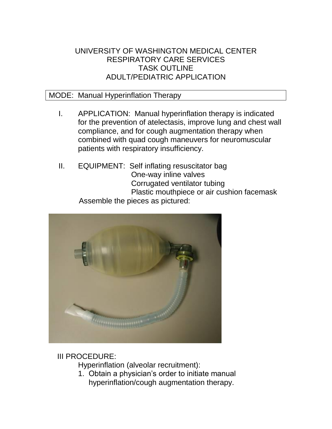## UNIVERSITY OF WASHINGTON MEDICAL CENTER RESPIRATORY CARE SERVICES TASK OUTLINE ADULT/PEDIATRIC APPLICATION

## MODE: Manual Hyperinflation Therapy

- I. APPLICATION: Manual hyperinflation therapy is indicated for the prevention of atelectasis, improve lung and chest wall compliance, and for cough augmentation therapy when combined with quad cough maneuvers for neuromuscular patients with respiratory insufficiency.
- II. EQUIPMENT: Self inflating resuscitator bag One-way inline valves Corrugated ventilator tubing Plastic mouthpiece or air cushion facemask Assemble the pieces as pictured:



## III PROCEDURE:

Hyperinflation (alveolar recruitment):

1. Obtain a physician's order to initiate manual hyperinflation/cough augmentation therapy.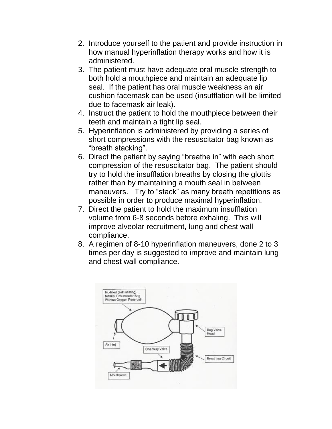- 2. Introduce yourself to the patient and provide instruction in how manual hyperinflation therapy works and how it is administered.
- 3. The patient must have adequate oral muscle strength to both hold a mouthpiece and maintain an adequate lip seal. If the patient has oral muscle weakness an air cushion facemask can be used (insufflation will be limited due to facemask air leak).
- 4. Instruct the patient to hold the mouthpiece between their teeth and maintain a tight lip seal.
- 5. Hyperinflation is administered by providing a series of short compressions with the resuscitator bag known as "breath stacking".
- 6. Direct the patient by saying "breathe in" with each short compression of the resuscitator bag. The patient should try to hold the insufflation breaths by closing the glottis rather than by maintaining a mouth seal in between maneuvers. Try to "stack" as many breath repetitions as possible in order to produce maximal hyperinflation.
- 7. Direct the patient to hold the maximum insufflation volume from 6-8 seconds before exhaling. This will improve alveolar recruitment, lung and chest wall compliance.
- 8. A regimen of 8-10 hyperinflation maneuvers, done 2 to 3 times per day is suggested to improve and maintain lung and chest wall compliance.

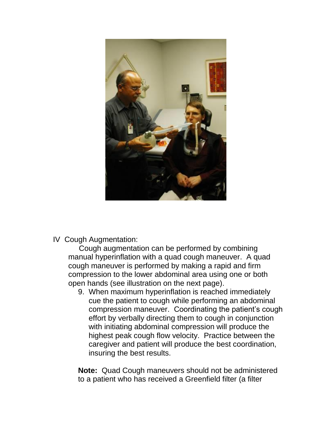

IV Cough Augmentation:

 Cough augmentation can be performed by combining manual hyperinflation with a quad cough maneuver. A quad cough maneuver is performed by making a rapid and firm compression to the lower abdominal area using one or both open hands (see illustration on the next page).

9. When maximum hyperinflation is reached immediately cue the patient to cough while performing an abdominal compression maneuver. Coordinating the patient's cough effort by verbally directing them to cough in conjunction with initiating abdominal compression will produce the highest peak cough flow velocity. Practice between the caregiver and patient will produce the best coordination, insuring the best results.

**Note:** Quad Cough maneuvers should not be administered to a patient who has received a Greenfield filter (a filter